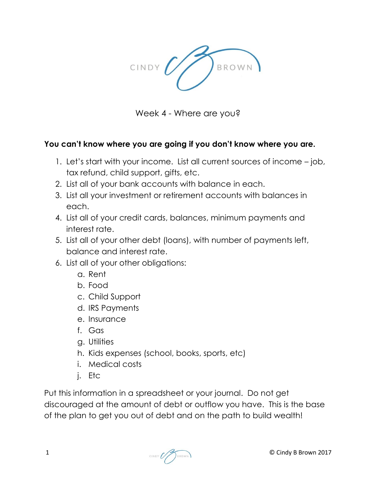

Week 4 - Where are you?

## **You can't know where you are going if you don't know where you are.**

- 1. Let's start with your income. List all current sources of income job, tax refund, child support, gifts, etc.
- 2. List all of your bank accounts with balance in each.
- 3. List all your investment or retirement accounts with balances in each.
- 4. List all of your credit cards, balances, minimum payments and interest rate.
- 5. List all of your other debt (loans), with number of payments left, balance and interest rate.
- 6. List all of your other obligations:
	- a. Rent
	- b. Food
	- c. Child Support
	- d. IRS Payments
	- e. Insurance
	- f. Gas
	- g. Utilities
	- h. Kids expenses (school, books, sports, etc)
	- i. Medical costs
	- j. Etc

Put this information in a spreadsheet or your journal. Do not get discouraged at the amount of debt or outflow you have. This is the base of the plan to get you out of debt and on the path to build wealth!